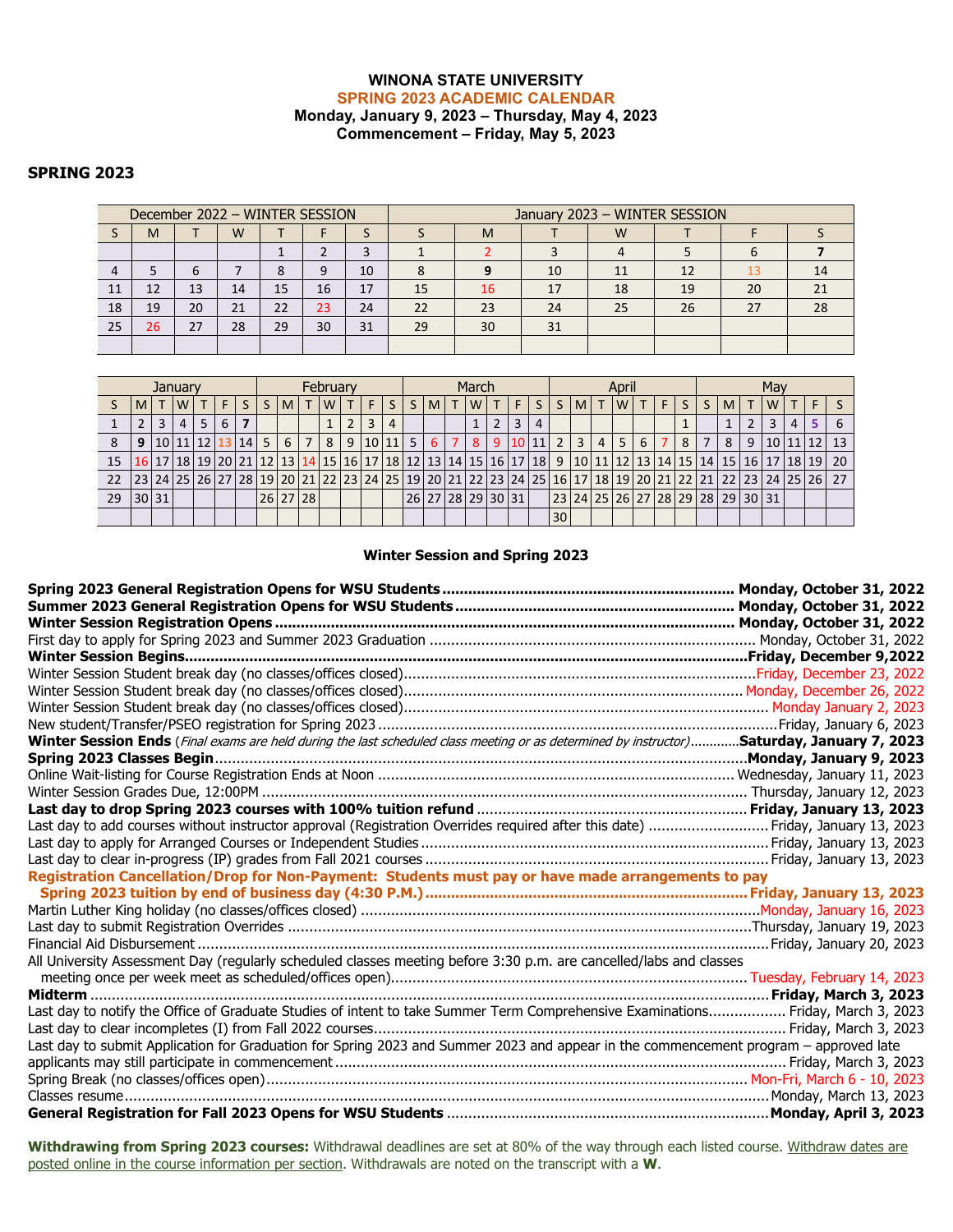## **WINONA STATE UNIVERSITY SPRING 2023 ACADEMIC CALENDAR Monday, January 9, 2023 – Thursday, May 4, 2023 Commencement – Friday, May 5, 2023**

## **SPRING 2023**

|     |    |    |    |    | December 2022 - WINTER SESSION |    | January 2023 - WINTER SESSION |    |    |    |    |    |    |  |  |  |  |
|-----|----|----|----|----|--------------------------------|----|-------------------------------|----|----|----|----|----|----|--|--|--|--|
|     | M  |    | W  |    |                                |    |                               | M  |    | W  |    |    |    |  |  |  |  |
|     |    |    |    |    |                                |    |                               |    |    |    |    |    |    |  |  |  |  |
|     |    |    |    |    | q                              | 10 |                               |    | 10 |    | 12 |    | 14 |  |  |  |  |
| -11 | 12 | 13 | 14 | 15 | 16                             | 17 | 15                            | 16 | 17 | 18 | 19 | 20 | 21 |  |  |  |  |
| 18  | 19 | 20 | 21 | 22 | 23                             | 24 | 22                            | 23 | 24 | 25 | 26 |    | 28 |  |  |  |  |
| 25  | 26 | 27 | 28 | 29 | 30                             | 31 | 29                            | 30 | 31 |    |    |    |    |  |  |  |  |
|     |    |    |    |    |                                |    |                               |    |    |    |    |    |    |  |  |  |  |

| January |       |                  |   |  |     |  | February |                |  |            |  |                 |   |    | March          |              |                   |  |   |           | April           |                |                |                |   |    | May |    |                                                                                                                               |   |     |   |          |    |
|---------|-------|------------------|---|--|-----|--|----------|----------------|--|------------|--|-----------------|---|----|----------------|--------------|-------------------|--|---|-----------|-----------------|----------------|----------------|----------------|---|----|-----|----|-------------------------------------------------------------------------------------------------------------------------------|---|-----|---|----------|----|
|         | MI    |                  | W |  | E I |  |          | M <sub>1</sub> |  | <b>T</b> W |  | F.              |   | S. | M <sub>1</sub> | $\mathsf{T}$ | W                 |  | F |           |                 | <b>MIT</b>     |                | W              |   | F. | S.  | S. | M                                                                                                                             |   | I W |   |          |    |
|         |       |                  |   |  | 6   |  |          |                |  |            |  | 3               | 4 |    |                |              |                   |  | 3 |           |                 |                |                |                |   |    |     |    |                                                                                                                               |   |     | 4 |          |    |
|         | 9     | 10 11 12 13 14 5 |   |  |     |  |          | 6 I            |  | 7 8        |  | 9   10   11   5 |   |    | 6 I            | <b>7</b> I   | -8                |  |   | 9 10 11 2 |                 | 3 <sup>1</sup> | 4 <sup>1</sup> | 5 <sub>1</sub> | 6 |    | 8   |    | 8                                                                                                                             | 9 |     |   | 10 11 12 | 13 |
| 15      |       |                  |   |  |     |  |          |                |  |            |  |                 |   |    |                |              |                   |  |   |           |                 |                |                |                |   |    |     |    | 16 17 18 19 10 11 12 13 14 15 16 17 18 19 10 11 12 13 14 15 16 17 18 17 18 19 10 11 12 13 14 15 14 15 16 17 18 19             |   |     |   |          | 20 |
|         |       |                  |   |  |     |  |          |                |  |            |  |                 |   |    |                |              |                   |  |   |           |                 |                |                |                |   |    |     |    | 23 24 25 26 27 28 19 20 21 22 23 24 25 10 22 23 24 25 10 26 27 28 29 20 21 22 23 24 25 26 27 28 29 20 21 22 22 23 24 25 26 27 |   |     |   |          |    |
| 29      | 30 31 |                  |   |  |     |  |          | 26 27 28       |  |            |  |                 |   |    |                |              | 26 27 28 29 30 31 |  |   |           |                 |                |                |                |   |    |     |    | 23 24 25 26 27 28 29 28 29 30 31                                                                                              |   |     |   |          |    |
|         |       |                  |   |  |     |  |          |                |  |            |  |                 |   |    |                |              |                   |  |   |           | 30 <sub>1</sub> |                |                |                |   |    |     |    |                                                                                                                               |   |     |   |          |    |

## **Winter Session and Spring 2023**

| Winter Session Ends (Final exams are held during the last scheduled class meeting or as determined by instructor)Saturday, January 7, 2023 |  |
|--------------------------------------------------------------------------------------------------------------------------------------------|--|
|                                                                                                                                            |  |
|                                                                                                                                            |  |
|                                                                                                                                            |  |
|                                                                                                                                            |  |
| Last day to add courses without instructor approval (Registration Overrides required after this date)  Friday, January 13, 2023            |  |
|                                                                                                                                            |  |
|                                                                                                                                            |  |
| Registration Cancellation/Drop for Non-Payment: Students must pay or have made arrangements to pay                                         |  |
|                                                                                                                                            |  |
|                                                                                                                                            |  |
|                                                                                                                                            |  |
|                                                                                                                                            |  |
| All University Assessment Day (regularly scheduled classes meeting before 3:30 p.m. are cancelled/labs and classes                         |  |
|                                                                                                                                            |  |
|                                                                                                                                            |  |
| Last day to notify the Office of Graduate Studies of intent to take Summer Term Comprehensive Examinations Friday, March 3, 2023           |  |
|                                                                                                                                            |  |
| Last day to submit Application for Graduation for Spring 2023 and Summer 2023 and appear in the commencement program - approved late       |  |
|                                                                                                                                            |  |
|                                                                                                                                            |  |
|                                                                                                                                            |  |
|                                                                                                                                            |  |

**Withdrawing from Spring 2023 courses:** Withdrawal deadlines are set at 80% of the way through each listed course. Withdraw dates are posted online in the course information per section. Withdrawals are noted on the transcript with a **W**.